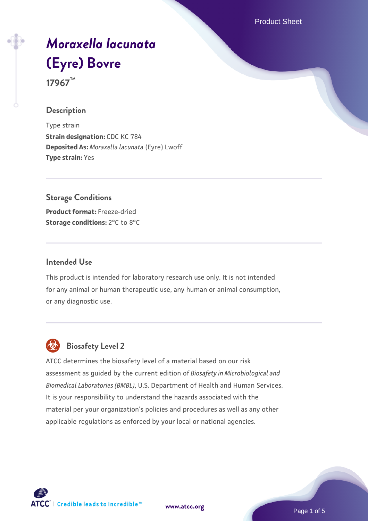Product Sheet

# *[Moraxella lacunata](https://www.atcc.org/products/17967)* **[\(Eyre\) Bovre](https://www.atcc.org/products/17967)**

**17967™**

# **Description**

Type strain **Strain designation:** CDC KC 784 **Deposited As:** *Moraxella lacunata* (Eyre) Lwoff **Type strain:** Yes

## **Storage Conditions**

**Product format:** Freeze-dried **Storage conditions:** 2°C to 8°C

## **Intended Use**

This product is intended for laboratory research use only. It is not intended for any animal or human therapeutic use, any human or animal consumption, or any diagnostic use.



# **Biosafety Level 2**

ATCC determines the biosafety level of a material based on our risk assessment as guided by the current edition of *Biosafety in Microbiological and Biomedical Laboratories (BMBL)*, U.S. Department of Health and Human Services. It is your responsibility to understand the hazards associated with the material per your organization's policies and procedures as well as any other applicable regulations as enforced by your local or national agencies.



**[www.atcc.org](http://www.atcc.org)**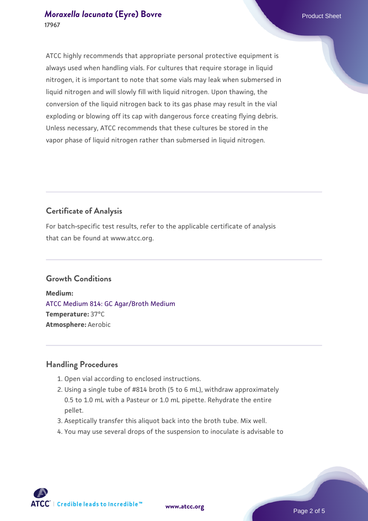ATCC highly recommends that appropriate personal protective equipment is always used when handling vials. For cultures that require storage in liquid nitrogen, it is important to note that some vials may leak when submersed in liquid nitrogen and will slowly fill with liquid nitrogen. Upon thawing, the conversion of the liquid nitrogen back to its gas phase may result in the vial exploding or blowing off its cap with dangerous force creating flying debris. Unless necessary, ATCC recommends that these cultures be stored in the vapor phase of liquid nitrogen rather than submersed in liquid nitrogen.

# **Certificate of Analysis**

For batch-specific test results, refer to the applicable certificate of analysis that can be found at www.atcc.org.

# **Growth Conditions**

**Medium:**  [ATCC Medium 814: GC Agar/Broth Medium](https://www.atcc.org/-/media/product-assets/documents/microbial-media-formulations/8/1/4/atcc-medium-814.pdf?rev=35b7a8bd934e4c89ac299828e59c3922) **Temperature:** 37°C **Atmosphere:** Aerobic

# **Handling Procedures**

- 1. Open vial according to enclosed instructions.
- 2. Using a single tube of #814 broth (5 to 6 mL), withdraw approximately 0.5 to 1.0 mL with a Pasteur or 1.0 mL pipette. Rehydrate the entire pellet.
- 3. Aseptically transfer this aliquot back into the broth tube. Mix well.
- 4. You may use several drops of the suspension to inoculate is advisable to

**ATCC** | Credible leads to Incredible™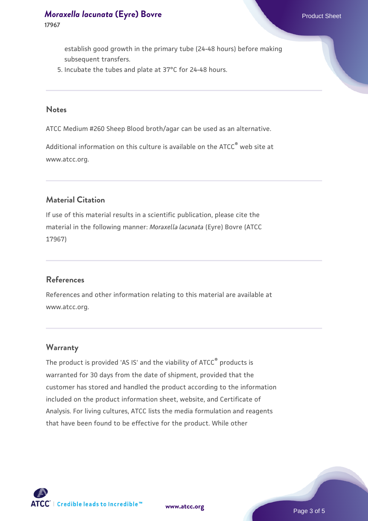establish good growth in the primary tube (24-48 hours) before making subsequent transfers.

5. Incubate the tubes and plate at 37°C for 24-48 hours.

#### **Notes**

ATCC Medium #260 Sheep Blood broth/agar can be used as an alternative.

Additional information on this culture is available on the ATCC® web site at www.atcc.org.

# **Material Citation**

If use of this material results in a scientific publication, please cite the material in the following manner: *Moraxella lacunata* (Eyre) Bovre (ATCC 17967)

## **References**

References and other information relating to this material are available at www.atcc.org.

## **Warranty**

The product is provided 'AS IS' and the viability of ATCC® products is warranted for 30 days from the date of shipment, provided that the customer has stored and handled the product according to the information included on the product information sheet, website, and Certificate of Analysis. For living cultures, ATCC lists the media formulation and reagents that have been found to be effective for the product. While other



**[www.atcc.org](http://www.atcc.org)**

Page 3 of 5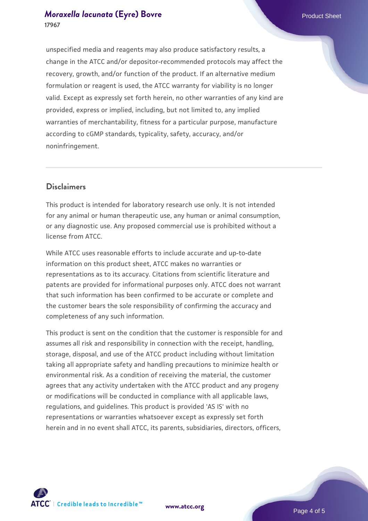unspecified media and reagents may also produce satisfactory results, a change in the ATCC and/or depositor-recommended protocols may affect the recovery, growth, and/or function of the product. If an alternative medium formulation or reagent is used, the ATCC warranty for viability is no longer valid. Except as expressly set forth herein, no other warranties of any kind are provided, express or implied, including, but not limited to, any implied warranties of merchantability, fitness for a particular purpose, manufacture according to cGMP standards, typicality, safety, accuracy, and/or noninfringement.

## **Disclaimers**

This product is intended for laboratory research use only. It is not intended for any animal or human therapeutic use, any human or animal consumption, or any diagnostic use. Any proposed commercial use is prohibited without a license from ATCC.

While ATCC uses reasonable efforts to include accurate and up-to-date information on this product sheet, ATCC makes no warranties or representations as to its accuracy. Citations from scientific literature and patents are provided for informational purposes only. ATCC does not warrant that such information has been confirmed to be accurate or complete and the customer bears the sole responsibility of confirming the accuracy and completeness of any such information.

This product is sent on the condition that the customer is responsible for and assumes all risk and responsibility in connection with the receipt, handling, storage, disposal, and use of the ATCC product including without limitation taking all appropriate safety and handling precautions to minimize health or environmental risk. As a condition of receiving the material, the customer agrees that any activity undertaken with the ATCC product and any progeny or modifications will be conducted in compliance with all applicable laws, regulations, and guidelines. This product is provided 'AS IS' with no representations or warranties whatsoever except as expressly set forth herein and in no event shall ATCC, its parents, subsidiaries, directors, officers,